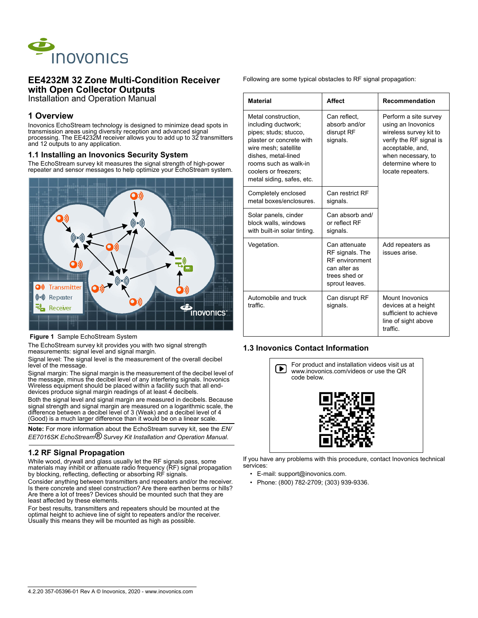

# **EE4232M 32 Zone Multi-Condition Receiver with Open Collector Outputs**

Installation and Operation Manual

# **1 Overview**

Inovonics EchoStream technology is designed to minimize dead spots in transmission areas using diversity reception and advanced signal processing. The EE4232M receiver allows you to add up to 32 transmitters and 12 outputs to any application.

## **1.1 Installing an Inovonics Security System**

The EchoStream survey kit measures the signal strength of high-power repeater and sensor messages to help optimize your EchoStream system.



 **Figure 1** Sample EchoStream System

The EchoStream survey kit provides you with two signal strength measurements: signal level and signal margin.

Signal level: The signal level is the measurement of the overall decibel level of the message.

Signal margin: The signal margin is the measurement of the decibel level of the message, minus the decibel level of any interfering signals. Inovonics Wireless equipment should be placed within a facility such that all enddevices produce signal margin readings of at least 4 decibels.

Both the signal level and signal margin are measured in decibels. Because signal strength and signal margin are measured on a logarithmic scale, the difference between a decibel level of 3 (Weak) and a decibel level of 4 (Good) is a much larger difference than it would be on a linear scale.

**Note:** For more information about the EchoStream survey kit, see the *EN/ EE7016SK EchoStream® Survey Kit Installation and Operation Manual*.

# **1.2 RF Signal Propagation**

While wood, drywall and glass usually let the RF signals pass, some materials may inhibit or attenuate radio frequency (RF) signal propagation by blocking, reflecting, deflecting or absorbing RF signals.

Consider anything between transmitters and repeaters and/or the receiver. Is there concrete and steel construction? Are there earthen berms or hills? Are there a lot of trees? Devices should be mounted such that they are least affected by these elements.

For best results, transmitters and repeaters should be mounted at the optimal height to achieve line of sight to repeaters and/or the receiver. Usually this means they will be mounted as high as possible.

Following are some typical obstacles to RF signal propagation:

| <b>Material</b>                                                                                                                                                                                                              | <b>Affect</b>                                                                                                | <b>Recommendation</b>                                                                                                                                                                 |
|------------------------------------------------------------------------------------------------------------------------------------------------------------------------------------------------------------------------------|--------------------------------------------------------------------------------------------------------------|---------------------------------------------------------------------------------------------------------------------------------------------------------------------------------------|
| Metal construction,<br>including ductwork;<br>pipes; studs; stucco,<br>plaster or concrete with<br>wire mesh; satellite<br>dishes, metal-lined<br>rooms such as walk-in<br>coolers or freezers:<br>metal siding, safes, etc. | Can reflect,<br>absorb and/or<br>disrupt RF<br>signals.                                                      | Perform a site survey<br>using an Inovonics<br>wireless survey kit to<br>verify the RF signal is<br>acceptable, and,<br>when necessary, to<br>determine where to<br>locate repeaters. |
| Completely enclosed<br>metal boxes/enclosures                                                                                                                                                                                | Can restrict RF<br>signals.                                                                                  |                                                                                                                                                                                       |
| Solar panels, cinder<br>block walls, windows<br>with built-in solar tinting.                                                                                                                                                 | Can absorb and/<br>or reflect RF<br>signals.                                                                 |                                                                                                                                                                                       |
| Vegetation.                                                                                                                                                                                                                  | Can attenuate<br>RF signals. The<br><b>RF</b> environment<br>can alter as<br>trees shed or<br>sprout leaves. | Add repeaters as<br>issues arise                                                                                                                                                      |
| Automobile and truck<br>traffic                                                                                                                                                                                              | Can disrupt RF<br>signals.                                                                                   | <b>Mount Inovonics</b><br>devices at a height<br>sufficient to achieve<br>line of sight above<br>traffic                                                                              |

# **1.3 Inovonics Contact Information**



If you have any problems with this procedure, contact Inovonics technical services:

- E-mail: support@inovonics.com.
- Phone: (800) 782-2709; (303) 939-9336.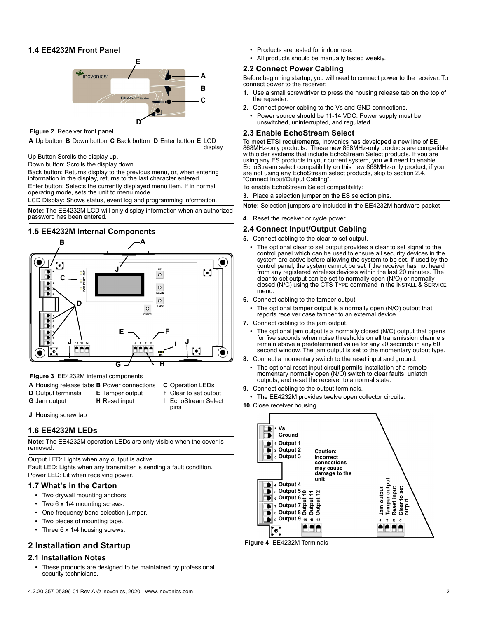# **1.4 EE4232M Front Panel**



 **Figure 2** Receiver front panel

**A** Up button **B** Down button **C** Back button **D** Enter button **E** LCD display

Up Button Scrolls the display up.

Down button: Scrolls the display down.

Back button: Returns display to the previous menu, or, when entering information in the display, returns to the last character entered. Enter button: Selects the currently displayed menu item. If in normal operating mode, sets the unit to menu mode.

LCD Display: Shows status, event log and programming information.

**Note:** The EE4232M LCD will only display information when an authorized password has been entered.

# **1.5 EE4232M Internal Components**



 **Figure 3** EE4232M internal components

- **A** Housing release tabs **B** Power connections **C** Operation LEDs
- **D** Output terminals **E** Tamper output **F** Clear to set output
- **G** Jam output **H** Reset input **I** EchoStream Select
- - pins
- **J** Housing screw tab

#### **1.6 EE4232M LEDs**

**Note:** The EE4232M operation LEDs are only visible when the cover is removed.

Output LED: Lights when any output is active.

Fault LED: Lights when any transmitter is sending a fault condition. Power LED: Lit when receiving power.

#### **1.7 What's in the Carton**

- Two drywall mounting anchors.
- Two 6 x 1/4 mounting screws.
- One frequency band selection jumper.
- Two pieces of mounting tape.
- Three 6 x 1/4 housing screws.

# **2 Installation and Startup**

## **2.1 Installation Notes**

These products are designed to be maintained by professional security technicians.

- Products are tested for indoor use.
- All products should be manually tested weekly.

## **2.2 Connect Power Cabling**

Before beginning startup, you will need to connect power to the receiver. To connect power to the receiver:

- **1.** Use a small screwdriver to press the housing release tab on the top of the repeater.
- **2.** Connect power cabling to the Vs and GND connections.
	- Power source should be 11-14 VDC. Power supply must be unswitched, uninterrupted, and regulated.

### **2.3 Enable EchoStream Select**

To meet ETSI requirements, Inovonics has developed a new line of EE 868MHz-only products. These new 868MHz-only products are compatible with older systems that include EchoStream Select products. If you are using any ES products in your current system, you will need to enable EchoStream select compatibility on this new 868MHz-only product; if you are not using any EchoStream select products, skip to section [2.4,](#page-1-0)  ["Connect Input/Output Cabling"](#page-1-0).

To enable EchoStream Select compatibility:

**3.** Place a selection jumper on the ES selection pins.

**Note:** Selection jumpers are included in the EE4232M hardware packet.

**4.** Reset the receiver or cycle power.

#### <span id="page-1-0"></span>**2.4 Connect Input/Output Cabling**

- **5.** Connect cabling to the clear to set output.
- The optional clear to set output provides a clear to set signal to the control panel which can be used to ensure all security devices in the system are active before allowing the system to be set. If used by the control panel, the system cannot be set if the receiver has not heard from any registered wireless devices within the last 20 minutes. The clear to set output can be set to normally open (N/O) or normally closed (N/C) using the CTS TYPE command in the INSTALL & SERVICE menu.
- **6.** Connect cabling to the tamper output.
	- The optional tamper output is a normally open (N/O) output that reports receiver case tamper to an external device.
- **7.** Connect cabling to the jam output.
	- The optional jam output is a normally closed (N/C) output that opens for five seconds when noise thresholds on all transmission channels remain above a predetermined value for any 20 seconds in any 60 second window. The jam output is set to the momentary output type.
- **8.** Connect a momentary switch to the reset input and ground.
- The optional reset input circuit permits installation of a remote momentary normally open (N/O) switch to clear faults, unlatch outputs, and reset the receiver to a normal state.
- **9.** Connect cabling to the output terminals.
- The EE4232M provides twelve open collector circuits.
- **10.** Close receiver housing.



 **Figure 4** EE4232M Terminals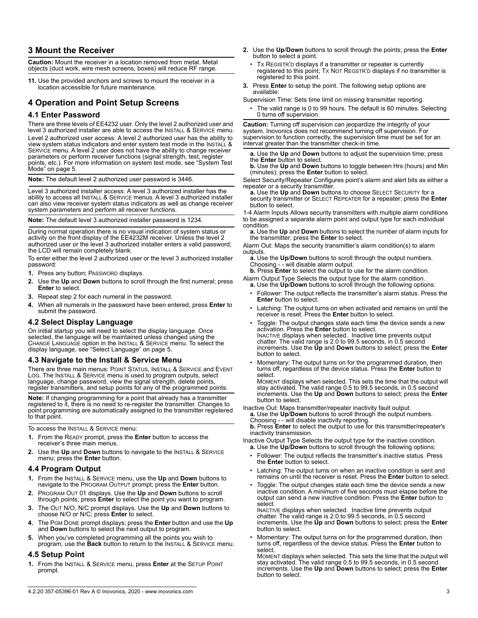# **3 Mount the Receiver**

**Caution:** Mount the receiver in a location removed from metal. Metal objects (duct work, wire mesh screens, boxes) will reduce RF range.

**11.** Use the provided anchors and screws to mount the receiver in a location accessible for future maintenance.

# **4 Operation and Point Setup Screens**

# **4.1 Enter Password**

There are three levels of EE4232 user. Only the level 2 authorized user and level 3 authorized installer are able to access the INSTALL & SERVICE menu. Level 2 authorized user access: A level 2 authorized user has the ability to view system status indicators and enter system test mode in the INSTALL & SERVICE menu. A level 2 user does not have the ability to change receiver parameters or perform receiver functions (signal strength, test, register points, etc.). For more information on system test mode, see ["System Test](#page-4-1)  [Mode" on page 5](#page-4-1).

**Note:** The default level 2 authorized user password is 3446.

Level 3 authorized installer access: A level 3 authorized installer has the ability to access all INSTALL & SERVICE menus. A level 3 authorized installer can also view receiver system status indicators as well as change receiver system parameters and perform all receiver functions.

**Note:** The default level 3 authorized installer password is 1234.

During normal operation there is no visual indication of system status or activity on the front display of the EE4232M receiver. Unless the level 2 authorized user or the level 3 authorized installer enters a valid password, the LCD will remain completely blank.

To enter either the level 2 authorized user or the level 3 authorized installer password:

- **1.** Press any button; PASSWORD displays.
- <span id="page-2-0"></span>**2.** Use the **Up** and **Down** buttons to scroll through the first numeral; press **Enter** to select.
- **3.** Repeat step [2](#page-2-0) for each numeral in the password.
- **4.** When all numerals in the password have been entered, press **Enter** to submit the password.

## **4.2 Select Display Language**

On initial startup you will need to select the display language. Once selected, the language will be maintained unless changed using the CHANGE LANGUAGE option in the INSTALL & SERVICE menu. To select the display language, see ["Select Language" on page 5.](#page-4-0)

## **4.3 Navigate to the Install & Service Menu**

There are three main menus: POINT STATUS, INSTALL & SERVICE and EVENT LOG. The INSTALL & SERVICE menu is used to program outputs, select language, change password, view the signal strength, delete points, register transmitters, and setup points for any of the programmed points.

**Note:** If changing programming for a point that already has a transmitter registered to it, there is no need to re-register the transmitter. Changes to point programming are automatically assigned to the transmitter registered to that point.

To access the INSTALL & SERVICE menu:

- **1.** From the READY prompt, press the **Enter** button to access the receiver's three main menus.
- **2.** Use the **Up** and **Down** buttons to navigate to the INSTALL & SERVICE menu; press the **Enter** button.

# **4.4 Program Output**

- **1.** From the INSTALL & SERVICE menu, use the **Up** and **Down** buttons to navigate to the PROGRAM OUTPUT prompt; press the **Enter** button.
- **2.** PROGRAM OUT 01 displays. Use the **Up** and **Down** buttons to scroll through points; press **Enter** to select the point you want to program.
- **3.** The OUT N/O, N/C prompt displays. Use the **Up** and **Down** buttons to choose N/O or N/C; press **Enter** to select.
- **4.** The PGM DONE prompt displays; press the **Enter** button and use the **Up** and **Down** buttons to select the next output to program.
- **5.** When you've completed programming all the points you wish to program, use the **Back** button to return to the INSTALL & SERVICE menu.

## **4.5 Setup Point**

**1.** From the INSTALL & SERVICE menu, press **Enter** at the SETUP POINT prompt.

- **2.** Use the **Up**/**Down** buttons to scroll through the points; press the **Enter** button to select a point.
	- Tx REGISTR'D displays if a transmitter or repeater is currently registered to this point; TX NOT REGSTR'D displays if no transmitter is registered to this point.
- **3.** Press **Enter** to setup the point. The following setup options are available:

Supervision Time: Sets time limit on missing transmitter reporting.

• The valid range is 0 to 99 hours. The default is 60 minutes. Selecting 0 turns off supervision.

**Caution:** Turning off supervision can jeopardize the integrity of your system. Inovonics does not recommend turning off supervision. For supervision to function correctly, the supervision time must be set for an interval greater than the transmitter check-in time.

**a.** Use the **Up** and **Down** buttons to adjust the supervision time; press the **Enter** button to select.

**b.** Use the **Up** and **Down** buttons to toggle between Hrs (hours) and Min (minutes); press the **Enter** button to select.

Select Security/Repeater Configures point's alarm and alert bits as either a

repeater or a security transmitter. **a.** Use the **Up** and **Down** buttons to choose SELECT SECURITY for a security transmitter or SELECT REPEATER for a repeater; press the **Enter** button to select.

1-4 Alarm Inputs Allows security transmitters with multiple alarm conditions to be assigned a separate alarm point and output type for each individual condition.

**a.** Use the **Up** and **Down** buttons to select the number of alarm inputs for the transmitter; press the **Enter** to select.

Alarm Out: Maps the security transmitter's alarm condition(s) to alarm outputs.

**a.** Use the **Up**/**Down** buttons to scroll through the output numbers. Choosing - - will disable alarm output.

**b.** Press **Enter** to select the output to use for the alarm condition.

- Alarm Output Type Selects the output type for the alarm condition. **a.** Use the **Up**/**Down** buttons to scroll through the following options:
	- Follower: The output reflects the transmitter's alarm status. Press the **Enter** button to select.
- Latching: The output turns on when activated and remains on until the receiver is reset. Press the **Enter** button to select.
- Toggle: The output changes state each time the device sends a new activation. Press the **Enter** button to select. INACTIVE displays when selected. Inactive time prevents output chatter. The valid range is 2.0 to 99.5 seconds, in 0.5 second increments. Use the **Up** and **Down** buttons to select; press the **Enter** button to select.
- Momentary: The output turns on for the programmed duration, then turns off, regardless of the device status. Press the **Enter** button to select.

Момє́нт displays when selected. This sets the time that the output will<br>stay activated. The valid range 0.5 to 99.5 seconds, in 0.5 second<br>increments. Use the **Up** and **Down** buttons to select; press the **Enter** button to select.

Inactive Out: Maps transmitter/repeater inactivity fault output.

**a.** Use the **Up**/**Down** buttons to scroll through the output numbers. Choosing - - will disable inactivity reporting. **b.** Press **Enter** to select the output to use for this transmitter/repeater's

inactivity transmission.

Inactive Output Type Selects the output type for the inactive condition. **a.** Use the Up/Down buttons to scroll through the following options:

- Follower: The output reflects the transmitter's inactive status. Press the **Enter** button to select.
- Latching: The output turns on when an inactive condition is sent and remains on until the receiver is reset. Press the **Enter** button to select.
- Toggle: The output changes state each time the device sends a new inactive condition. A minimum of five seconds must elapse before the output can send a new inactive condition. Press the **Enter** button to select.

INACTIVE displays when selected. Inactive time prevents output chatter. The valid range is 2.0 to 99.5 seconds, in 0.5 second increments. Use the **Up** and **Down** buttons to select; press the **Enter** button to select.

• Momentary: The output turns on for the programmed duration, then turns off, regardless of the device status. Press the **Enter** button to select.

MOMENT displays when selected. This sets the time that the output will stay activated. The valid range 0.5 to 99.5 seconds, in 0.5 second increments. Use the **Up** and **Down** buttons to select; press the **Enter** button to select.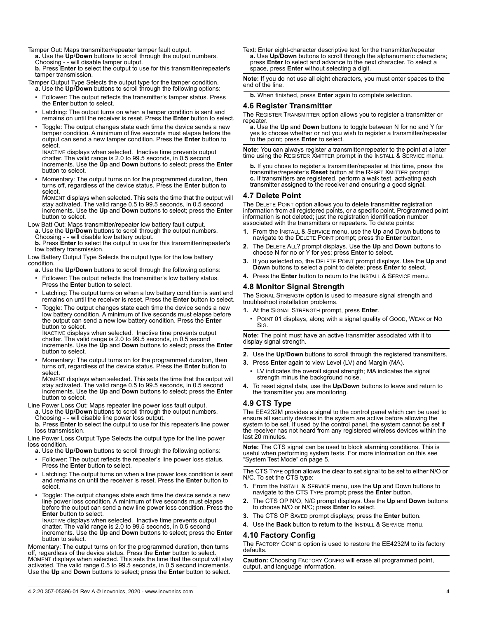Tamper Out: Maps transmitter/repeater tamper fault output. **a.** Use the **Up**/**Down** buttons to scroll through the output numbers.

Choosing - - will disable tamper output.

**b.** Press **Enter** to select the output to use for this transmitter/repeater's tamper transmission.

Tamper Output Type Selects the output type for the tamper condition. **a.** Use the **Up**/**Down** buttons to scroll through the following options:

- Follower: The output reflects the transmitter's tamper status. Press the **Enter** button to select.
- Latching: The output turns on when a tamper condition is sent and remains on until the receiver is reset. Press the **Enter** button to select.
- Toggle: The output changes state each time the device sends a new tamper condition. A minimum of five seconds must elapse before the output can send a new tamper condition. Press the **Enter** button to select.

INACTIVE displays when selected. Inactive time prevents output chatter. The valid range is 2.0 to 99.5 seconds, in 0.5 second increments. Use the **Up** and **Down** buttons to select; press the **Enter** button to select.

• Momentary: The output turns on for the programmed duration, then turns off, regardless of the device status. Press the **Enter** button to select.

MOMENT displays when selected. This sets the time that the output will stay activated. The valid range 0.5 to 99.5 seconds, in 0.5 second increments. Use the **Up** and **Down** buttons to select; press the **Enter** button to select.

- Low Batt Out: Maps transmitter/repeater low battery fault output.
	- **a.** Use the **Up**/**Down** buttons to scroll through the output numbers.
	- Choosing - will disable low battery output.

**b.** Press **Enter** to select the output to use for this transmitter/repeater's low battery transmission.

Low Battery Output Type Selects the output type for the low battery condition.

- **a.** Use the **Up**/**Down** buttons to scroll through the following options:
- Follower: The output reflects the transmitter's low battery status. Press the **Enter** button to select.
- Latching: The output turns on when a low battery condition is sent and remains on until the receiver is reset. Press the **Enter** button to select.
- Toggle: The output changes state each time the device sends a new low battery condition. A minimum of five seconds must elapse before the output can send a new low battery condition. Press the **Enter** button to select.

INACTIVE displays when selected. Inactive time prevents output chatter. The valid range is 2.0 to 99.5 seconds, in 0.5 second increments. Use the **Up** and **Down** buttons to select; press the **Enter** button to select.

• Momentary: The output turns on for the programmed duration, then turns off, regardless of the device status. Press the **Enter** button to select.

MOMENT displays when selected. This sets the time that the output will stay activated. The valid range 0.5 to 99.5 seconds, in 0.5 second increments. Use the **Up** and **Down** buttons to select; press the **Enter** button to select.

- Line Power Loss Out: Maps repeater line power loss fault output.
	- **a.** Use the **Up**/**Down** buttons to scroll through the output numbers.
	- Choosing - will disable line power loss output.

**b.** Press **Enter** to select the output to use for this repeater's line power loss transmission.

Line Power Loss Output Type Selects the output type for the line power loss condition.

- **a.** Use the **Up**/**Down** buttons to scroll through the following options:
- Follower: The output reflects the repeater's line power loss status. Press the **Enter** button to select.
- Latching: The output turns on when a line power loss condition is sent and remains on until the receiver is reset. Press the **Enter** button to select.
- Toggle: The output changes state each time the device sends a new line power loss condition. A minimum of five seconds must elapse before the output can send a new line power loss condition. Press the **Enter** button to select.

INACTIVE displays when selected. Inactive time prevents output chatter. The valid range is 2.0 to 99.5 seconds, in 0.5 second increments. Use the **Up** and **Down** buttons to select; press the **Enter** button to select.

Momentary: The output turns on for the programmed duration, then turns off, regardless of the device status. Press the **Enter** button to select. MOMENT displays when selected. This sets the time that the output will stay activated. The valid range 0.5 to 99.5 seconds, in 0.5 second increments. Use the **Up** and **Down** buttons to select; press the **Enter** button to select.

Text: Enter eight-character descriptive text for the transmitter/repeater **a.** Use **Up**/**Down** buttons to scroll through the alphanumeric characters; press **Enter** to select and advance to the next character. To select a space, press **Enter** without selecting a digit.

**Note:** If you do not use all eight characters, you must enter spaces to the end of the line.

**b.** When finished, press **Enter** again to complete selection.

# **4.6 Register Transmitter**

The REGISTER TRANSMITTER option allows you to register a transmitter or

a. Use the Up and Down buttons to toggle between N for no and Y for yes to choose whether or not you wish to register a transmitter/repeater to the point; press **Enter** to select.

**Note:** You can always register a transmitter/repeater to the point at a later time using the REGISTER XMITTER prompt in the INSTALL & SERVICE menu.

**b.** If you chose to register a transmitter/repeater at this time, press the transmitter/repeater's **Reset** button at the RESET XMITTER prompt **c.** If transmitters are registered, perform a walk test, activating each transmitter assigned to the receiver and ensuring a good signal.

## **4.7 Delete Point**

The DELETE POINT option allows you to delete transmitter registration information from all registered points, or a specific point. Programmed point information is not deleted; just the registration identification number associated with the transmitters or repeaters. To delete points:

- **1.** From the INSTALL & SERVICE menu, use the **Up** and Down buttons to navigate to the DELETE POINT prompt; press the **Enter** button.
- **2.** The DELETE ALL? prompt displays. Use the **Up** and **Down** buttons to choose N for no or Y for yes; press **Enter** to select.
- **3.** If you selected no, the DELETE POINT prompt displays. Use the **Up** and **Down** buttons to select a point to delete; press **Enter** to select.
- **4.** Press the **Enter** button to return to the INSTALL & SERVICE menu.

# **4.8 Monitor Signal Strength**

The SIGNAL STRENGTH option is used to measure signal strength and troubleshoot installation problems.

- **1.** At the SIGNAL STRENGTH prompt, press **Enter**.
- POINT 01 displays, along with a signal quality of GOOD, WEAK or NO SIG.

**Note:** The point must have an active transmitter associated with it to display signal strength.

- **2.** Use the **Up**/**Down** buttons to scroll through the registered transmitters.
- **3.** Press **Enter** again to view Level (LV) and Margin (MA).
- LV indicates the overall signal strength; MA indicates the signal strength minus the background noise.
- **4.** To reset signal data, use the **Up**/**Down** buttons to leave and return to the transmitter you are monitoring.

# <span id="page-3-1"></span>**4.9 CTS Type**

The EE4232M provides a signal to the control panel which can be used to ensure all security devices in the system are active before allowing the system to be set. If used by the control panel, the system cannot be set if the receiver has not heard from any registered wireless devices within the last 20 minutes.

**Note:** The CTS signal can be used to block alarming conditions. This is useful when performing system tests. For more information on this see ["System Test Mode" on page 5](#page-4-1).

The CTS TYPE option allows the clear to set signal to be set to either N/O or N/C. To set the CTS type:

- **1.** From the INSTALL & SERVICE menu, use the **Up** and Down buttons to navigate to the CTS TYPE prompt; press the **Enter** button.
- **2.** The CTS OP N/O, N/C prompt displays. Use the **Up** and **Down** buttons to choose N/O or N/C; press **Enter** to select.
- **3.** The CTS OP SAVED prompt displays; press the **Enter** button.
- **4.** Use the **Back** button to return to the INSTALL & SERVICE menu.

# <span id="page-3-0"></span>**4.10 Factory Config**

The FACTORY CONFIG option is used to restore the EE4232M to its factory defaults.

**Caution:** Choosing FACTORY CONFIG will erase all programmed point, output, and language information.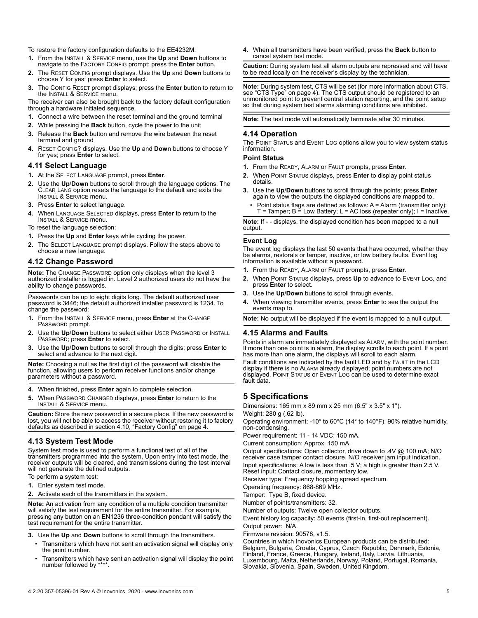To restore the factory configuration defaults to the EE4232M:

- **1.** From the INSTALL & SERVICE menu, use the **Up** and **Down** buttons to navigate to the FACTORY CONFIG prompt; press the **Enter** button.
- **2.** The RESET CONFIG prompt displays. Use the **Up** and **Down** buttons to choose Y for yes; press **Enter** to select.
- **3.** The CONFIG RESET prompt displays; press the **Enter** button to return to the INSTALL & SERVICE menu.

The receiver can also be brought back to the factory default configuration through a hardware initiated sequence.

- **1.** Connect a wire between the reset terminal and the ground terminal
- **2.** While pressing the **Back** button, cycle the power to the unit
- **3.** Release the **Back** button and remove the wire between the reset terminal and ground
- **4.** RESET CONFIG? displays. Use the **Up** and **Down** buttons to choose Y for yes; press **Enter** to select.

#### <span id="page-4-0"></span>**4.11 Select Language**

- **1.** At the SELECT LANGUAGE prompt, press **Enter**.
- **2.** Use the **Up**/**Down** buttons to scroll through the language options. The CLEAR LANG option resets the language to the default and exits the INSTALL & SERVICE menu.
- **3.** Press **Enter** to select language.
- **4.** When LANGUAGE SELECTED displays, press **Enter** to return to the INSTALL & SERVICE menu.
- To reset the language selection:
- **1.** Press the **Up** and **Enter** keys while cycling the power.
- **2.** The SELECT LANGUAGE prompt displays. Follow the steps above to choose a new language.

### **4.12 Change Password**

**Note:** The CHANGE PASSWORD option only displays when the level 3 authorized installer is logged in. Level 2 authorized users do not have the ability to change passwords.

Passwords can be up to eight digits long. The default authorized user password is 3446; the default authorized installer password is 1234. To change the password:

- **1.** From the INSTALL & SERVICE menu, press **Enter** at the CHANGE PASSWORD prompt.
- **2.** Use the **Up**/**Down** buttons to select either USER PASSWORD or INSTALL PASSWORD; press **Enter** to select.
- **3.** Use the **Up**/**Down** buttons to scroll through the digits; press **Enter** to select and advance to the next digit.

**Note:** Choosing a null as the first digit of the password will disable the function, allowing users to perform receiver functions and/or change parameters without a password.

- **4.** When finished, press **Enter** again to complete selection.
- **5.** When PASSWORD CHANGED displays, press **Enter** to return to the INSTALL & SERVICE menu.

**Caution:** Store the new password in a secure place. If the new password is lost, you will not be able to access the receiver without restoring it to factory defaults as described in section [4.10, "Factory Config" on page 4.](#page-3-0)

#### <span id="page-4-1"></span>**4.13 System Test Mode**

System test mode is used to perform a functional test of all of the transmitters programmed into the system. Upon entry into test mode, the receiver outputs will be cleared, and transmissions during the test interval will not generate the defined outputs.

- To perform a system test:
- **1.** Enter system test mode.
- **2.** Activate each of the transmitters in the system.

**Note:** An activation from any condition of a multiple condition transmitter will satisfy the test requirement for the entire transmitter. For example, pressing any button on an EN1236 three-condition pendant will satisfy the test requirement for the entire transmitter.

- **3.** Use the **Up** and **Down** buttons to scroll through the transmitters.
	- Transmitters which have not sent an activation signal will display only the point number.
	- Transmitters which have sent an activation signal will display the point number followed by \*\*\*

**4.** When all transmitters have been verified, press the **Back** button to cancel system test mode.

**Caution:** During system test all alarm outputs are repressed and will have to be read locally on the receiver's display by the technician.

**Note:** During system test, CTS will be set (for more information about CTS, see ["CTS Type" on page 4](#page-3-1)). The CTS output should be registered to an unmonitored point to prevent central station reporting, and the point setup so that during system test alarms alarming conditions are inhibited.

**Note:** The test mode will automatically terminate after 30 minutes.

#### **4.14 Operation**

The POINT STATUS and EVENT LOG options allow you to view system status information.

### **Point Status**

- **1.** From the READY, ALARM or FAULT prompts, press **Enter**.
- **2.** When POINT STATUS displays, press **Enter** to display point status details.
- **3.** Use the **Up**/**Down** buttons to scroll through the points; press **Enter** again to view the outputs the displayed conditions are mapped to.
	- Point status flags are defined as follows: A = Alarm (transmitter only);  $T =$  Tamper;  $B =$  Low Battery;  $L = AC$  loss (repeater only);  $I =$  Inactive.

**Note:** If - - displays, the displayed condition has been mapped to a null output.

#### **Event Log**

The event log displays the last 50 events that have occurred, whether they be alarms, restorals or tamper, inactive, or low battery faults. Event log information is available without a password.

- **1.** From the READY, ALARM or FAULT prompts, press **Enter**.
- **2.** When POINT STATUS displays, press **Up** to advance to EVENT LOG, and press **Enter** to select.
- **3.** Use the **Up**/**Down** buttons to scroll through events.
- **4.** When viewing transmitter events, press **Enter** to see the output the events map to.

**Note:** No output will be displayed if the event is mapped to a null output.

#### **4.15 Alarms and Faults**

Points in alarm are immediately displayed as ALARM, with the point number. If more than one point is in alarm, the display scrolls to each point. If a point has more than one alarm, the displays will scroll to each alarm.

Fault conditions are indicated by the fault LED and by FAULT in the LCD display if there is no ALARM already displayed; point numbers are not displayed. POINT STATUS or EVENT LOG can be used to determine exact fault data.

## **5 Specifications**

Dimensions: 165 mm x 89 mm x 25 mm (6.5" x 3.5" x 1").

Weight: 280 g (.62 lb).

Operating environment: -10° to 60°C (14° to 140°F), 90% relative humidity, non-condensing.

Power requirement: 11 - 14 VDC; 150 mA.

Current consumption: Approx. 150 mA.

Output specifications: Open collector, drive down to .4V @ 100 mA; N/O receiver case tamper contact closure, N/O receiver jam input indication. Input specifications: A low is less than .5 V; a high is greater than 2.5 V. Reset input: Contact closure, momentary low.

Receiver type: Frequency hopping spread spectrum.

Operating frequency: 868-869 MHz.

Tamper: Type B, fixed device.

Number of points/transmitters: 32.

Number of outputs: Twelve open collector outputs.

Event history log capacity: 50 events (first-in, first-out replacement). Output power: N/A.

Firmware revision: 90578, v1.5.

Countries in which Inovonics European products can be distributed: Belgium, Bulgaria, Croatia, Cyprus, Czech Republic, Denmark, Estonia, Finland, France, Greece, Hungary, Ireland, Italy, Latvia, Lithuania, Luxembourg, Malta, Netherlands, Norway, Poland, Portugal, Romania, Slovakia, Slovenia, Spain, Sweden, United Kingdom.